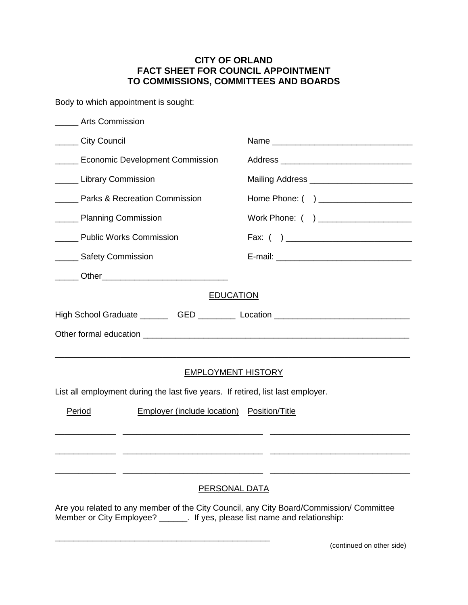## **CITY OF ORLAND FACT SHEET FOR COUNCIL APPOINTMENT TO COMMISSIONS, COMMITTEES AND BOARDS**

Body to which appointment is sought:

| <b>Arts Commission</b>                   |                                                                                 |                                                                                         |
|------------------------------------------|---------------------------------------------------------------------------------|-----------------------------------------------------------------------------------------|
| ______ City Council                      |                                                                                 |                                                                                         |
| <b>Economic Development Commission</b>   |                                                                                 |                                                                                         |
| <b>Library Commission</b>                |                                                                                 | Mailing Address ___________________________                                             |
| <b>Parks &amp; Recreation Commission</b> |                                                                                 | Home Phone: ( ) _____________________                                                   |
| <b>Nanning Commission</b>                |                                                                                 | Work Phone: ( ) _____________________                                                   |
| ______ Public Works Commission           |                                                                                 |                                                                                         |
| _____ Safety Commission                  |                                                                                 |                                                                                         |
|                                          | ______ Other________________________________                                    |                                                                                         |
|                                          | <b>EDUCATION</b>                                                                | High School Graduate __________GED ____________Location _________________________       |
|                                          | <b>EMPLOYMENT HISTORY</b>                                                       |                                                                                         |
|                                          | List all employment during the last five years. If retired, list last employer. |                                                                                         |
| Period                                   | <b>Employer (include location) Position/Title</b>                               |                                                                                         |
|                                          |                                                                                 |                                                                                         |
|                                          | <b>PERSONAL DATA</b>                                                            |                                                                                         |
|                                          | Member or City Employee? _______. If yes, please list name and relationship:    | Are you related to any member of the City Council, any City Board/Commission/ Committee |

\_\_\_\_\_\_\_\_\_\_\_\_\_\_\_\_\_\_\_\_\_\_\_\_\_\_\_\_\_\_\_\_\_\_\_\_\_\_\_\_\_\_\_\_\_\_

(continued on other side)